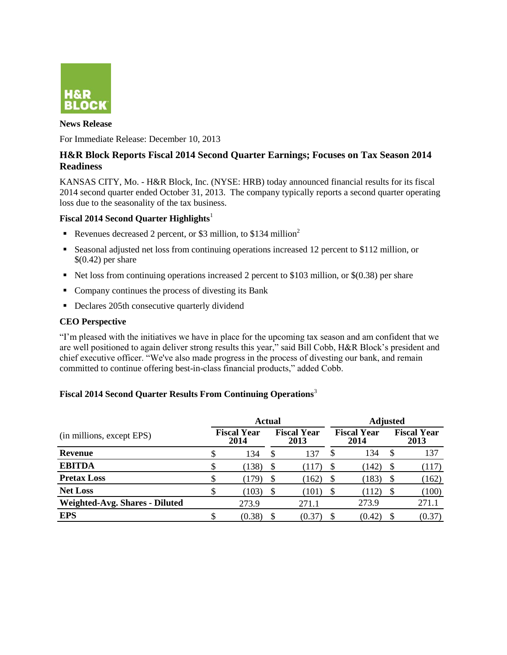

**News Release** For Immediate Release: December 10, 2013

# **H&R Block Reports Fiscal 2014 Second Quarter Earnings; Focuses on Tax Season 2014 Readiness**

KANSAS CITY, Mo. - H&R Block, Inc. (NYSE: HRB) today announced financial results for its fiscal 2014 second quarter ended October 31, 2013. The company typically reports a second quarter operating loss due to the seasonality of the tax business.

# **Fiscal 2014 Second Quarter Highlights**<sup>1</sup>

- Revenues decreased 2 percent, or \$3 million, to \$134 million<sup>2</sup>
- Seasonal adjusted net loss from continuing operations increased 12 percent to \$112 million, or  $$(0.42)$  per share
- Net loss from continuing operations increased 2 percent to \$103 million, or  $$(0.38)$  per share
- Company continues the process of divesting its Bank
- Declares 205th consecutive quarterly dividend

### **CEO Perspective**

"I'm pleased with the initiatives we have in place for the upcoming tax season and am confident that we are well positioned to again deliver strong results this year," said Bill Cobb, H&R Block's president and chief executive officer. "We've also made progress in the process of divesting our bank, and remain committed to continue offering best-in-class financial products," added Cobb.

### **Fiscal 2014 Second Quarter Results From Continuing Operations**<sup>3</sup>

|                                       |                            |        | <b>Actual</b>              |        | <b>Adjusted</b> |                            |                            |        |  |  |
|---------------------------------------|----------------------------|--------|----------------------------|--------|-----------------|----------------------------|----------------------------|--------|--|--|
| (in millions, except EPS)             | <b>Fiscal Year</b><br>2014 |        | <b>Fiscal Year</b><br>2013 |        |                 | <b>Fiscal Year</b><br>2014 | <b>Fiscal Year</b><br>2013 |        |  |  |
| <b>Revenue</b>                        |                            | 134    |                            | 137    |                 | 134                        |                            | 137    |  |  |
| <b>EBITDA</b>                         |                            | (138)  |                            | (117)  |                 | (142)                      |                            | (117)  |  |  |
| <b>Pretax Loss</b>                    |                            | (179)  |                            | (162)  |                 | (183)                      |                            | 162)   |  |  |
| <b>Net Loss</b>                       |                            | (103)  |                            | (101)  |                 | (112)                      |                            | (100)  |  |  |
| <b>Weighted-Avg. Shares - Diluted</b> |                            | 273.9  |                            | 271.1  |                 | 273.9                      |                            | 271.1  |  |  |
| <b>EPS</b>                            |                            | (0.38) |                            | (0.37) |                 | (0.42)                     |                            | (0.37) |  |  |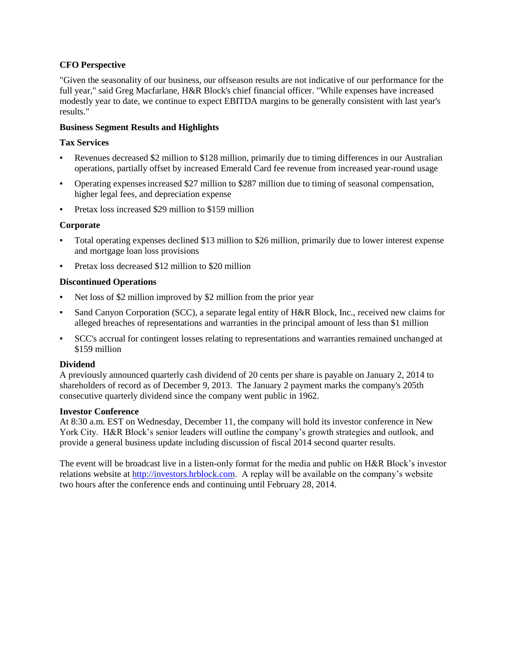# **CFO Perspective**

"Given the seasonality of our business, our offseason results are not indicative of our performance for the full year," said Greg Macfarlane, H&R Block's chief financial officer. "While expenses have increased modestly year to date, we continue to expect EBITDA margins to be generally consistent with last year's results."

### **Business Segment Results and Highlights**

### **Tax Services**

- Revenues decreased \$2 million to \$128 million, primarily due to timing differences in our Australian operations, partially offset by increased Emerald Card fee revenue from increased year-round usage
- Operating expenses increased \$27 million to \$287 million due to timing of seasonal compensation, higher legal fees, and depreciation expense
- Pretax loss increased \$29 million to \$159 million

# **Corporate**

- Total operating expenses declined \$13 million to \$26 million, primarily due to lower interest expense and mortgage loan loss provisions
- Pretax loss decreased \$12 million to \$20 million

### **Discontinued Operations**

- Net loss of \$2 million improved by \$2 million from the prior year
- Sand Canyon Corporation (SCC), a separate legal entity of H&R Block, Inc., received new claims for alleged breaches of representations and warranties in the principal amount of less than \$1 million
- SCC's accrual for contingent losses relating to representations and warranties remained unchanged at \$159 million

### **Dividend**

A previously announced quarterly cash dividend of 20 cents per share is payable on January 2, 2014 to shareholders of record as of December 9, 2013. The January 2 payment marks the company's 205th consecutive quarterly dividend since the company went public in 1962.

### **Investor Conference**

At 8:30 a.m. EST on Wednesday, December 11, the company will hold its investor conference in New York City. H&R Block's senior leaders will outline the company's growth strategies and outlook, and provide a general business update including discussion of fiscal 2014 second quarter results.

The event will be broadcast live in a listen-only format for the media and public on H&R Block's investor relations website at http://investors.hrblock.com. A replay will be available on the company's website two hours after the conference ends and continuing until February 28, 2014.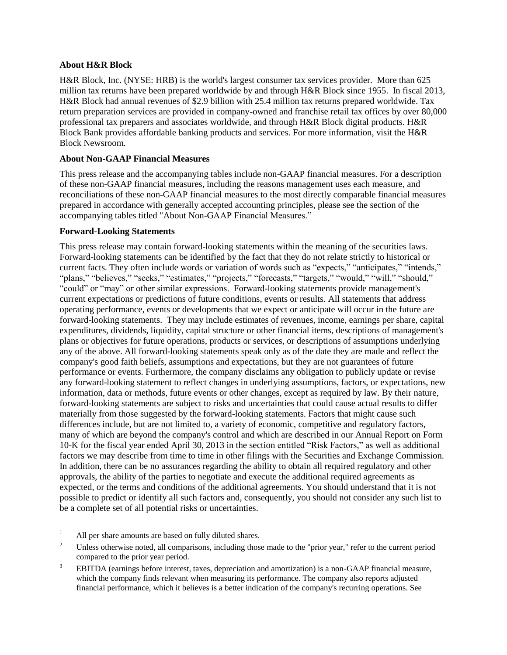#### **About H&R Block**

H&R Block, Inc. (NYSE: HRB) is the world's largest consumer tax services provider. More than 625 million tax returns have been prepared worldwide by and through H&R Block since 1955. In fiscal 2013, H&R Block had annual revenues of \$2.9 billion with 25.4 million tax returns prepared worldwide. Tax return preparation services are provided in company-owned and franchise retail tax offices by over 80,000 professional tax preparers and associates worldwide, and through H&R Block digital products. H&R Block Bank provides affordable banking products and services. For more information, visit the H&R Block Newsroom.

### **About Non-GAAP Financial Measures**

This press release and the accompanying tables include non-GAAP financial measures. For a description of these non-GAAP financial measures, including the reasons management uses each measure, and reconciliations of these non-GAAP financial measures to the most directly comparable financial measures prepared in accordance with generally accepted accounting principles, please see the section of the accompanying tables titled "About Non-GAAP Financial Measures."

#### **Forward-Looking Statements**

This press release may contain forward-looking statements within the meaning of the securities laws. Forward-looking statements can be identified by the fact that they do not relate strictly to historical or current facts. They often include words or variation of words such as "expects," "anticipates," "intends," "plans," "believes," "seeks," "estimates," "projects," "forecasts," "targets," "would," "will," "should," "could" or "may" or other similar expressions. Forward-looking statements provide management's current expectations or predictions of future conditions, events or results. All statements that address operating performance, events or developments that we expect or anticipate will occur in the future are forward-looking statements. They may include estimates of revenues, income, earnings per share, capital expenditures, dividends, liquidity, capital structure or other financial items, descriptions of management's plans or objectives for future operations, products or services, or descriptions of assumptions underlying any of the above. All forward-looking statements speak only as of the date they are made and reflect the company's good faith beliefs, assumptions and expectations, but they are not guarantees of future performance or events. Furthermore, the company disclaims any obligation to publicly update or revise any forward-looking statement to reflect changes in underlying assumptions, factors, or expectations, new information, data or methods, future events or other changes, except as required by law. By their nature, forward-looking statements are subject to risks and uncertainties that could cause actual results to differ materially from those suggested by the forward-looking statements. Factors that might cause such differences include, but are not limited to, a variety of economic, competitive and regulatory factors, many of which are beyond the company's control and which are described in our Annual Report on Form 10-K for the fiscal year ended April 30, 2013 in the section entitled "Risk Factors," as well as additional factors we may describe from time to time in other filings with the Securities and Exchange Commission. In addition, there can be no assurances regarding the ability to obtain all required regulatory and other approvals, the ability of the parties to negotiate and execute the additional required agreements as expected, or the terms and conditions of the additional agreements. You should understand that it is not possible to predict or identify all such factors and, consequently, you should not consider any such list to be a complete set of all potential risks or uncertainties.

- <sup>1</sup> All per share amounts are based on fully diluted shares.
- <sup>2</sup> Unless otherwise noted, all comparisons, including those made to the "prior year," refer to the current period compared to the prior year period.
- <sup>3</sup> EBITDA (earnings before interest, taxes, depreciation and amortization) is a non-GAAP financial measure, which the company finds relevant when measuring its performance. The company also reports adjusted financial performance, which it believes is a better indication of the company's recurring operations. See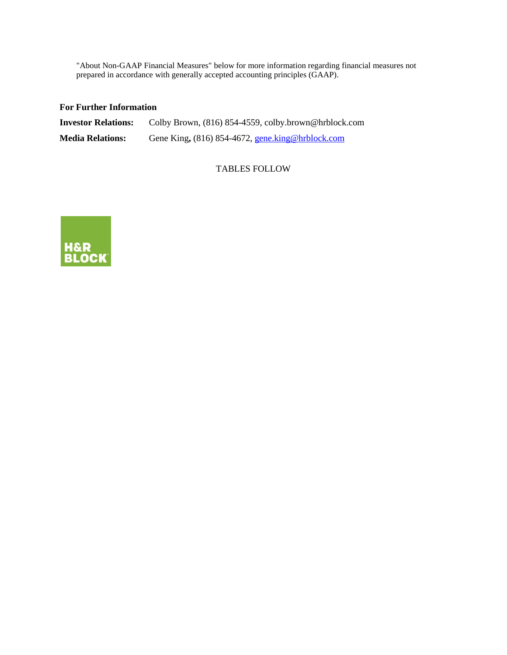"About Non-GAAP Financial Measures" below for more information regarding financial measures not prepared in accordance with generally accepted accounting principles (GAAP).

**For Further Information**

| <b>Investor Relations:</b> | Colby Brown, (816) 854-4559, colby.brown@hrblock.com |
|----------------------------|------------------------------------------------------|
| <b>Media Relations:</b>    | Gene King, $(816)$ 854-4672, gene king@hrblock.com   |

TABLES FOLLOW

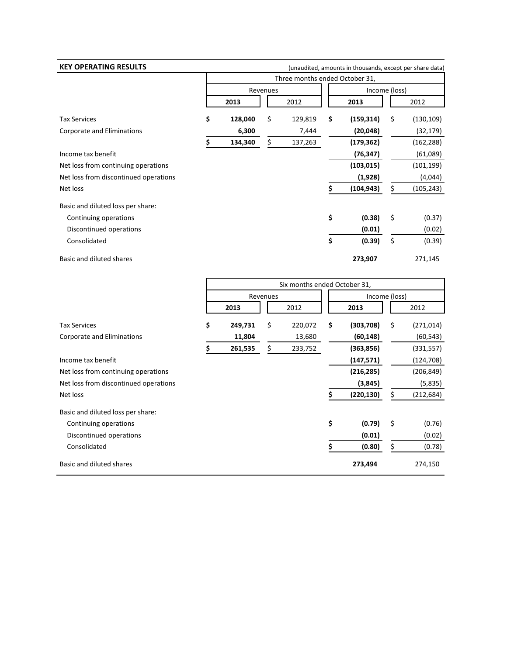#### **KEY OPERATING RESULTS** (unaudited, amounts in thousands, except per share data)

|                                       |    |         |          | Three months ended October 31, |    |            |               |            |  |  |  |
|---------------------------------------|----|---------|----------|--------------------------------|----|------------|---------------|------------|--|--|--|
|                                       |    |         | Revenues |                                |    |            | Income (loss) |            |  |  |  |
|                                       |    | 2013    |          | 2012                           |    | 2013       |               | 2012       |  |  |  |
| <b>Tax Services</b>                   | \$ | 128,040 | \$       | 129,819                        | \$ | (159, 314) | \$            | (130, 109) |  |  |  |
| Corporate and Eliminations            |    | 6,300   |          | 7,444                          |    | (20,048)   |               | (32, 179)  |  |  |  |
|                                       | s  | 134,340 | \$       | 137,263                        |    | (179, 362) |               | (162, 288) |  |  |  |
| Income tax benefit                    |    |         |          |                                |    | (76, 347)  |               | (61,089)   |  |  |  |
| Net loss from continuing operations   |    |         |          |                                |    | (103, 015) |               | (101, 199) |  |  |  |
| Net loss from discontinued operations |    |         |          |                                |    | (1,928)    |               | (4,044)    |  |  |  |
| Net loss                              |    |         |          |                                |    | (104, 943) | \$            | (105,243)  |  |  |  |
| Basic and diluted loss per share:     |    |         |          |                                |    |            |               |            |  |  |  |
| Continuing operations                 |    |         |          |                                | \$ | (0.38)     | \$            | (0.37)     |  |  |  |
| Discontinued operations               |    |         |          |                                |    | (0.01)     |               | (0.02)     |  |  |  |
| Consolidated                          |    |         |          |                                |    | (0.39)     | \$            | (0.39)     |  |  |  |
| Basic and diluted shares              |    |         |          |                                |    | 273,907    |               | 271,145    |  |  |  |

|                                       |      | Six months ended October 31, |          |         |    |               |    |            |  |  |  |
|---------------------------------------|------|------------------------------|----------|---------|----|---------------|----|------------|--|--|--|
|                                       |      |                              | Revenues |         |    | Income (loss) |    |            |  |  |  |
|                                       | 2013 |                              |          | 2012    |    | 2013          |    | 2012       |  |  |  |
| <b>Tax Services</b>                   | \$   | 249,731                      | \$       | 220,072 | \$ | (303,708)     | \$ | (271, 014) |  |  |  |
| Corporate and Eliminations            |      | 11,804                       |          | 13,680  |    | (60, 148)     |    | (60, 543)  |  |  |  |
|                                       |      | 261,535                      | \$       | 233,752 |    | (363, 856)    |    | (331, 557) |  |  |  |
| Income tax benefit                    |      |                              |          |         |    | (147, 571)    |    | (124, 708) |  |  |  |
| Net loss from continuing operations   |      |                              |          |         |    | (216, 285)    |    | (206, 849) |  |  |  |
| Net loss from discontinued operations |      |                              |          |         |    | (3, 845)      |    | (5,835)    |  |  |  |
| Net loss                              |      |                              |          |         |    | (220, 130)    | S  | (212, 684) |  |  |  |
| Basic and diluted loss per share:     |      |                              |          |         |    |               |    |            |  |  |  |
| Continuing operations                 |      |                              |          |         | \$ | (0.79)        | \$ | (0.76)     |  |  |  |
| Discontinued operations               |      |                              |          |         |    | (0.01)        |    | (0.02)     |  |  |  |
| Consolidated                          |      |                              |          |         | Ś  | (0.80)        | \$ | (0.78)     |  |  |  |
| Basic and diluted shares              |      |                              |          |         |    | 273,494       |    | 274,150    |  |  |  |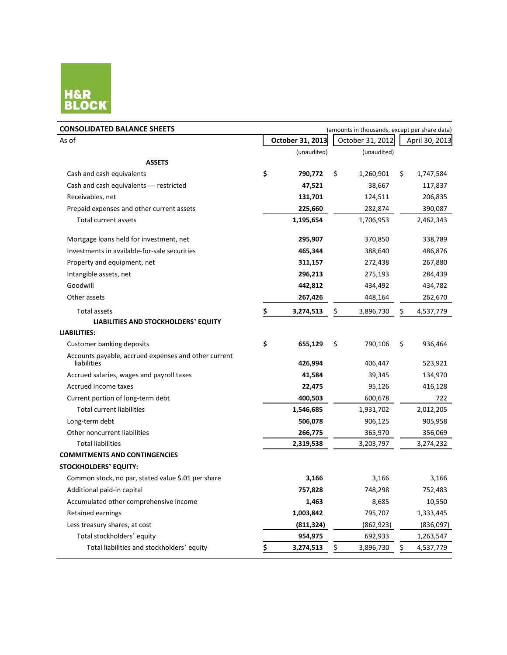

| <b>CONSOLIDATED BALANCE SHEETS</b><br>(amounts in thousands, except per share data) |    |                  |    |                  |    |                |
|-------------------------------------------------------------------------------------|----|------------------|----|------------------|----|----------------|
| As of                                                                               |    | October 31, 2013 |    | October 31, 2012 |    | April 30, 2013 |
|                                                                                     |    | (unaudited)      |    | (unaudited)      |    |                |
| <b>ASSETS</b>                                                                       |    |                  |    |                  |    |                |
| Cash and cash equivalents                                                           | \$ | 790,772          | \$ | 1,260,901        | \$ | 1,747,584      |
| Cash and cash equivalents - restricted                                              |    | 47,521           |    | 38,667           |    | 117,837        |
| Receivables, net                                                                    |    | 131,701          |    | 124,511          |    | 206,835        |
| Prepaid expenses and other current assets                                           |    | 225,660          |    | 282,874          |    | 390,087        |
| Total current assets                                                                |    | 1,195,654        |    | 1,706,953        |    | 2,462,343      |
| Mortgage loans held for investment, net                                             |    | 295,907          |    | 370,850          |    | 338,789        |
| Investments in available-for-sale securities                                        |    | 465,344          |    | 388,640          |    | 486,876        |
| Property and equipment, net                                                         |    | 311,157          |    | 272,438          |    | 267,880        |
| Intangible assets, net                                                              |    | 296,213          |    | 275,193          |    | 284,439        |
| Goodwill                                                                            |    | 442,812          |    | 434,492          |    | 434,782        |
| Other assets                                                                        |    | 267,426          |    | 448,164          |    | 262,670        |
| <b>Total assets</b>                                                                 | \$ | 3,274,513        | \$ | 3,896,730        | \$ | 4,537,779      |
| LIABILITIES AND STOCKHOLDERS' EQUITY                                                |    |                  |    |                  |    |                |
| <b>LIABILITIES:</b>                                                                 |    |                  |    |                  |    |                |
| <b>Customer banking deposits</b>                                                    | \$ | 655,129          | \$ | 790,106          | \$ | 936,464        |
| Accounts payable, accrued expenses and other current<br>liabilities                 |    | 426,994          |    | 406,447          |    | 523,921        |
| Accrued salaries, wages and payroll taxes                                           |    | 41,584           |    | 39,345           |    | 134,970        |
| Accrued income taxes                                                                |    | 22,475           |    | 95,126           |    | 416,128        |
| Current portion of long-term debt                                                   |    | 400,503          |    | 600,678          |    | 722            |
| <b>Total current liabilities</b>                                                    |    | 1,546,685        |    | 1,931,702        |    | 2,012,205      |
| Long-term debt                                                                      |    | 506,078          |    | 906,125          |    | 905,958        |
| Other noncurrent liabilities                                                        |    | 266,775          |    | 365,970          |    | 356,069        |
| <b>Total liabilities</b>                                                            |    | 2,319,538        |    | 3,203,797        |    | 3,274,232      |
| <b>COMMITMENTS AND CONTINGENCIES</b>                                                |    |                  |    |                  |    |                |
| STOCKHOLDERS' EQUITY:                                                               |    |                  |    |                  |    |                |
| Common stock, no par, stated value \$.01 per share                                  |    | 3,166            |    | 3,166            |    | 3,166          |
| Additional paid-in capital                                                          |    | 757,828          |    | 748,298          |    | 752,483        |
| Accumulated other comprehensive income                                              |    | 1,463            |    | 8,685            |    | 10,550         |
| Retained earnings                                                                   |    | 1,003,842        |    | 795,707          |    | 1,333,445      |
| Less treasury shares, at cost                                                       |    | (811, 324)       |    | (862, 923)       |    | (836,097)      |
| Total stockholders' equity                                                          |    | 954,975          |    | 692,933          |    | 1,263,547      |
| Total liabilities and stockholders' equity                                          | \$ | 3,274,513        | \$ | 3,896,730        | \$ | 4,537,779      |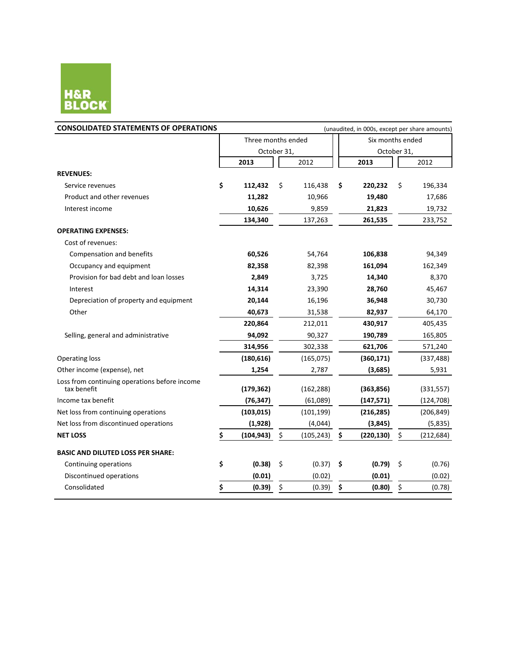

# **CONSOLIDATED STATEMENTS OF OPERATIONS** (unaudited, in 000s, except per share amounts) Three months ended **Six months ended** October 31, **and in the U** October 31, **2013** 2012 **2013** 2012 **REVENUES:** Service revenues **\$ 112,432** \$ 116,438 **\$ 220,232** \$ 196,334 Product and other revenues **11,282** 10,966 **19,480** 17,686 Interest income **10,626** 9,859 **21,823** 19,732 **134,340** 137,263 **261,535** 233,752 **OPERATING EXPENSES:** Cost of revenues: Compensation and benefits **60,526** 54,764 **106,838** 94,349 Occupancy and equipment **82,358** 82,398 **161,094** 162,349 Provision for bad debt and loan losses **2,849** 3,725 **14,340** 8,370 Interest **14,314** 23,390 **28,760** 45,467 Depreciation of property and equipment **20,144** 16,196 **36,948** 30,730 Other **40,673** 31,538 **82,937** 64,170 **220,864** 212,011 **430,917** 405,435 Selling, general and administrative **94,092** 90,327 **190,789** 165,805 **314,956** 302,338 **621,706** 571,240 Operating loss **(180,616)** (165,075) **(360,171)** (337,488) Other income (expense), net **1,254** 2,787 **(3,685)** 5,931 Loss from continuing operations before income tax benefit **(179,362)** (162,288) **(363,856)** (331,557) Income tax benefit **(76,347)** (61,089) **(147,571)** (124,708) Net loss from continuing operations **(103,015)** (101,199) **(216,285)** (206,849) Net loss from discontinued operations **(1,928)** (4,044) **(3,845)** (5,835) **NET LOSS \$ (104,943)** \$ (105,243) **\$ (220,130)** \$ (212,684) **BASIC AND DILUTED LOSS PER SHARE:** Continuing operations **\$ (0.38)** \$ (0.37) **\$ (0.79)** \$ (0.76) Discontinued operations **(0.01)** (0.02) **(0.01)** (0.02) Consolidated **\$ (0.39)** \$ (0.39) **\$ (0.80)** \$ (0.78)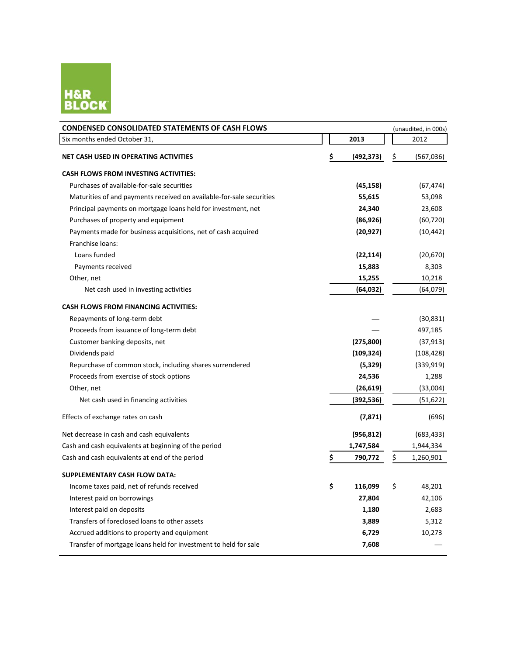

| <b>CONDENSED CONSOLIDATED STATEMENTS OF CASH FLOWS</b>               |                  | (unaudited, in 000s) |
|----------------------------------------------------------------------|------------------|----------------------|
| Six months ended October 31,                                         | 2013             | 2012                 |
| NET CASH USED IN OPERATING ACTIVITIES                                | \$<br>(492, 373) | \$<br>(567, 036)     |
| <b>CASH FLOWS FROM INVESTING ACTIVITIES:</b>                         |                  |                      |
| Purchases of available-for-sale securities                           | (45, 158)        | (67, 474)            |
| Maturities of and payments received on available-for-sale securities | 55,615           | 53,098               |
| Principal payments on mortgage loans held for investment, net        | 24,340           | 23,608               |
| Purchases of property and equipment                                  | (86, 926)        | (60, 720)            |
| Payments made for business acquisitions, net of cash acquired        | (20, 927)        | (10, 442)            |
| Franchise Ioans:                                                     |                  |                      |
| Loans funded                                                         | (22,114)         | (20, 670)            |
| Payments received                                                    | 15,883           | 8,303                |
| Other, net                                                           | 15,255           | 10,218               |
| Net cash used in investing activities                                | (64,032)         | (64,079)             |
|                                                                      |                  |                      |
| <b>CASH FLOWS FROM FINANCING ACTIVITIES:</b>                         |                  |                      |
| Repayments of long-term debt                                         |                  | (30, 831)            |
| Proceeds from issuance of long-term debt                             |                  | 497,185              |
| Customer banking deposits, net                                       | (275, 800)       | (37, 913)            |
| Dividends paid                                                       | (109, 324)       | (108, 428)           |
| Repurchase of common stock, including shares surrendered             | (5, 329)         | (339, 919)           |
| Proceeds from exercise of stock options                              | 24,536           | 1,288                |
| Other, net                                                           | (26, 619)        | (33,004)             |
| Net cash used in financing activities                                | (392, 536)       | (51, 622)            |
| Effects of exchange rates on cash                                    | (7, 871)         | (696)                |
| Net decrease in cash and cash equivalents                            | (956, 812)       | (683, 433)           |
| Cash and cash equivalents at beginning of the period                 | 1,747,584        | 1,944,334            |
| Cash and cash equivalents at end of the period                       | \$<br>790,772    | \$<br>1,260,901      |
| <b>SUPPLEMENTARY CASH FLOW DATA:</b>                                 |                  |                      |
| Income taxes paid, net of refunds received                           | \$<br>116,099    | \$<br>48,201         |
| Interest paid on borrowings                                          | 27,804           | 42,106               |
| Interest paid on deposits                                            | 1,180            | 2,683                |
| Transfers of foreclosed loans to other assets                        | 3,889            | 5,312                |
| Accrued additions to property and equipment                          | 6,729            | 10,273               |
| Transfer of mortgage loans held for investment to held for sale      | 7,608            |                      |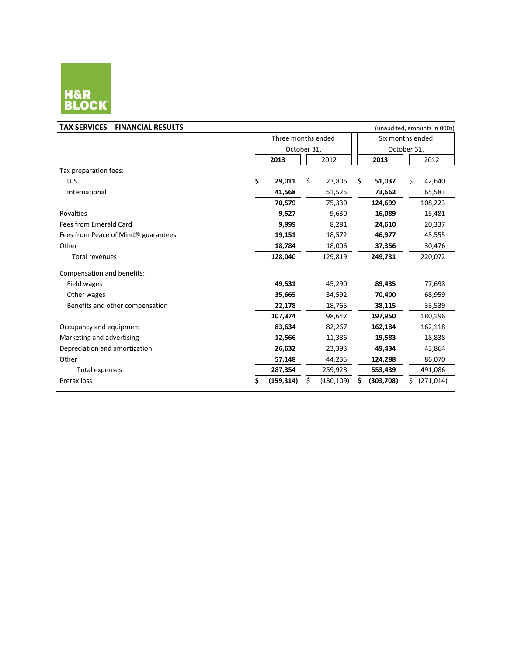

| <b>TAX SERVICES - FINANCIAL RESULTS</b>         |                    |    |                  |             |           |    | (unaudited, amounts in 000s) |  |
|-------------------------------------------------|--------------------|----|------------------|-------------|-----------|----|------------------------------|--|
|                                                 | Three months ended |    | Six months ended |             |           |    |                              |  |
|                                                 | October 31,        |    |                  | October 31, |           |    |                              |  |
|                                                 | 2013               |    | 2012             |             | 2013      |    | 2012                         |  |
| Tax preparation fees:                           |                    |    |                  |             |           |    |                              |  |
| U.S.                                            | \$<br>29.011       | \$ | 23,805           | \$          | 51,037    | \$ | 42,640                       |  |
| International                                   | 41,568             |    | 51,525           |             | 73,662    |    | 65,583                       |  |
|                                                 | 70,579             |    | 75,330           |             | 124,699   |    | 108,223                      |  |
| Royalties                                       | 9,527              |    | 9,630            |             | 16,089    |    | 15,481                       |  |
| <b>Fees from Emerald Card</b>                   | 9,999              |    | 8,281            |             | 24,610    |    | 20,337                       |  |
| Fees from Peace of Mind <sup>®</sup> guarantees | 19,151             |    | 18,572           |             | 46,977    |    | 45,555                       |  |
| Other                                           | 18,784             |    | 18,006           |             | 37,356    |    | 30,476                       |  |
| Total revenues                                  | 128,040            |    | 129,819          |             | 249,731   |    | 220,072                      |  |
| Compensation and benefits:                      |                    |    |                  |             |           |    |                              |  |
| Field wages                                     | 49,531             |    | 45,290           |             | 89,435    |    | 77,698                       |  |
| Other wages                                     | 35,665             |    | 34,592           |             | 70,400    |    | 68,959                       |  |
| Benefits and other compensation                 | 22,178             |    | 18,765           |             | 38,115    |    | 33,539                       |  |
|                                                 | 107,374            |    | 98,647           |             | 197,950   |    | 180,196                      |  |
| Occupancy and equipment                         | 83,634             |    | 82,267           |             | 162,184   |    | 162,118                      |  |
| Marketing and advertising                       | 12,566             |    | 11,386           |             | 19,583    |    | 18,838                       |  |
| Depreciation and amortization                   | 26,632             |    | 23,393           |             | 49,434    |    | 43,864                       |  |
| Other                                           | 57,148             |    | 44,235           |             | 124,288   |    | 86,070                       |  |
| Total expenses                                  | 287,354            |    | 259,928          |             | 553,439   |    | 491,086                      |  |
| Pretax loss                                     | (159, 314)         | S  | (130, 109)       | S           | (303,708) | S  | (271, 014)                   |  |
|                                                 |                    |    |                  |             |           |    |                              |  |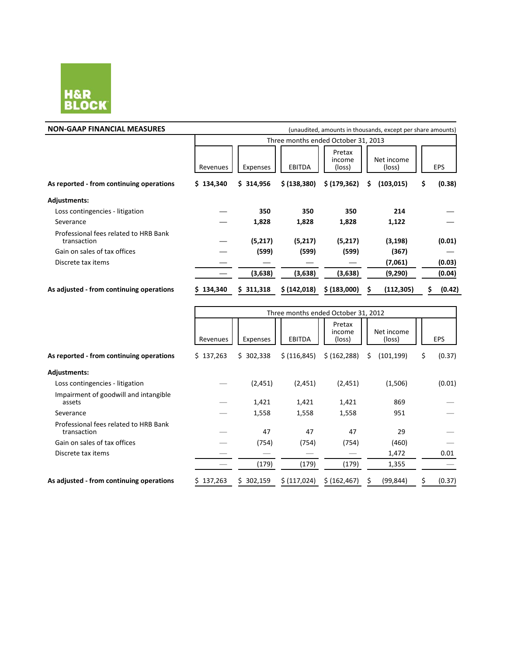

| <b>NON-GAAP FINANCIAL MEASURES</b>                   | (unaudited, amounts in thousands, except per share amounts) |           |                                     |                            |                      |              |  |  |  |  |
|------------------------------------------------------|-------------------------------------------------------------|-----------|-------------------------------------|----------------------------|----------------------|--------------|--|--|--|--|
|                                                      |                                                             |           | Three months ended October 31, 2013 |                            |                      |              |  |  |  |  |
|                                                      | Revenues                                                    | Expenses  | <b>EBITDA</b>                       | Pretax<br>income<br>(loss) | Net income<br>(loss) | EPS.         |  |  |  |  |
| As reported - from continuing operations             | \$134,340                                                   | \$314,956 | \$(138, 380)                        | \$ (179, 362)              | (103, 015)<br>\$     | \$<br>(0.38) |  |  |  |  |
| <b>Adjustments:</b>                                  |                                                             |           |                                     |                            |                      |              |  |  |  |  |
| Loss contingencies - litigation                      |                                                             | 350       | 350                                 | 350                        | 214                  |              |  |  |  |  |
| Severance                                            |                                                             | 1,828     | 1,828                               | 1,828                      | 1,122                |              |  |  |  |  |
| Professional fees related to HRB Bank<br>transaction |                                                             | (5,217)   | (5,217)                             | (5,217)                    | (3, 198)             | (0.01)       |  |  |  |  |
| Gain on sales of tax offices                         |                                                             | (599)     | (599)                               | (599)                      | (367)                |              |  |  |  |  |
| Discrete tax items                                   |                                                             |           |                                     |                            | (7,061)              | (0.03)       |  |  |  |  |
|                                                      |                                                             | (3,638)   | (3,638)                             | (3,638)                    | (9,290)              | (0.04)       |  |  |  |  |
| As adjusted - from continuing operations             | \$134,340                                                   | \$311,318 | \$(142,018)                         | \$ (183,000)               | (112, 305)<br>S      | (0.42)<br>S  |  |  |  |  |

|                                                      |           | Three months ended October 31, 2012 |               |                            |                      |              |  |  |  |
|------------------------------------------------------|-----------|-------------------------------------|---------------|----------------------------|----------------------|--------------|--|--|--|
|                                                      | Revenues  | Expenses                            | <b>EBITDA</b> | Pretax<br>income<br>(loss) | Net income<br>(loss) | <b>EPS</b>   |  |  |  |
| As reported - from continuing operations             | \$137,263 | \$302,338                           | \$ (116, 845) | \$ (162, 288)              | (101, 199)<br>S      | (0.37)<br>\$ |  |  |  |
| Adjustments:                                         |           |                                     |               |                            |                      |              |  |  |  |
| Loss contingencies - litigation                      |           | (2,451)                             | (2,451)       | (2,451)                    | (1,506)              | (0.01)       |  |  |  |
| Impairment of goodwill and intangible<br>assets      |           | 1,421                               | 1,421         | 1,421                      | 869                  |              |  |  |  |
| Severance                                            |           | 1,558                               | 1,558         | 1,558                      | 951                  |              |  |  |  |
| Professional fees related to HRB Bank<br>transaction |           | 47                                  | 47            | 47                         | 29                   |              |  |  |  |
| Gain on sales of tax offices                         |           | (754)                               | (754)         | (754)                      | (460)                |              |  |  |  |
| Discrete tax items                                   |           |                                     |               |                            | 1,472                | 0.01         |  |  |  |
|                                                      |           | (179)                               | (179)         | (179)                      | 1,355                |              |  |  |  |
| As adjusted - from continuing operations             | \$137,263 | \$302,159                           | \$ (117,024)  | \$ (162, 467)              | (99,844)<br>S        | \$<br>(0.37) |  |  |  |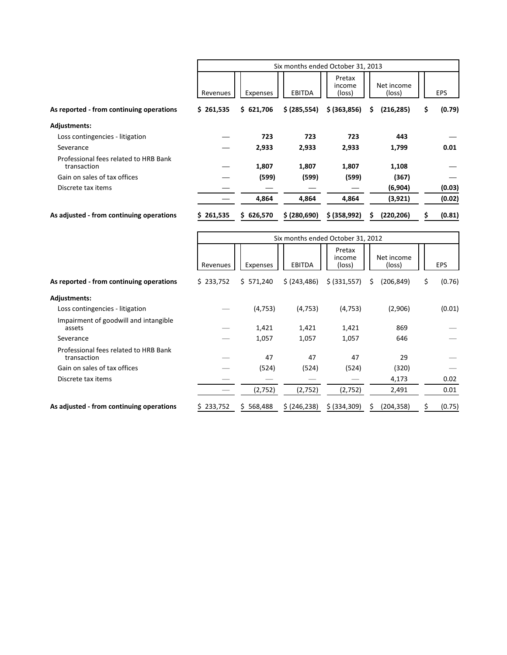|                                                      |               |               | Six months ended October 31, 2013 |                            |                      |    |            |
|------------------------------------------------------|---------------|---------------|-----------------------------------|----------------------------|----------------------|----|------------|
|                                                      | Revenues      | Expenses      | EBITDA                            | Pretax<br>income<br>(loss) | Net income<br>(loss) |    | <b>EPS</b> |
| As reported - from continuing operations             | \$261,535     | \$621,706     | \$ (285, 554)                     | \$ (363,856)               | (216, 285)<br>\$     | \$ | (0.79)     |
| <b>Adjustments:</b>                                  |               |               |                                   |                            |                      |    |            |
| Loss contingencies - litigation                      |               | 723           | 723                               | 723                        | 443                  |    |            |
| Severance                                            |               | 2,933         | 2,933                             | 2,933                      | 1,799                |    | 0.01       |
| Professional fees related to HRB Bank<br>transaction |               | 1,807         | 1,807                             | 1,807                      | 1,108                |    |            |
| Gain on sales of tax offices                         |               | (599)         | (599)                             | (599)                      | (367)                |    |            |
| Discrete tax items                                   |               |               |                                   |                            | (6,904)              |    | (0.03)     |
|                                                      |               | 4,864         | 4,864                             | 4,864                      | (3,921)              |    | (0.02)     |
| As adjusted - from continuing operations             | 261,535<br>s. | 626,570<br>S. | \$ (280,690)                      | \$ (358,992)               | (220, 206)<br>s      | S  | (0.81)     |

|                                                      | Six months ended October 31, 2012 |               |               |                            |                      |              |  |  |  |
|------------------------------------------------------|-----------------------------------|---------------|---------------|----------------------------|----------------------|--------------|--|--|--|
|                                                      | Revenues                          | Expenses      | EBITDA        | Pretax<br>income<br>(loss) | Net income<br>(loss) | <b>EPS</b>   |  |  |  |
| As reported - from continuing operations             | \$233,752                         | \$571,240     | \$ (243, 486) | \$ (331,557)               | (206, 849)<br>Ŝ.     | \$<br>(0.76) |  |  |  |
| Adjustments:                                         |                                   |               |               |                            |                      |              |  |  |  |
| Loss contingencies - litigation                      |                                   | (4, 753)      | (4, 753)      | (4, 753)                   | (2,906)              | (0.01)       |  |  |  |
| Impairment of goodwill and intangible<br>assets      |                                   | 1,421         | 1,421         | 1,421                      | 869                  |              |  |  |  |
| Severance                                            |                                   | 1,057         | 1,057         | 1,057                      | 646                  |              |  |  |  |
| Professional fees related to HRB Bank<br>transaction |                                   | 47            | 47            | 47                         | 29                   |              |  |  |  |
| Gain on sales of tax offices                         |                                   | (524)         | (524)         | (524)                      | (320)                |              |  |  |  |
| Discrete tax items                                   |                                   |               |               |                            | 4,173                | 0.02         |  |  |  |
|                                                      |                                   | (2,752)       | (2,752)       | (2,752)                    | 2,491                | 0.01         |  |  |  |
| As adjusted - from continuing operations             | 233,752                           | 568,488<br>S. | \$ (246, 238) | \$ (334,309)               | (204, 358)           | (0.75)<br>S  |  |  |  |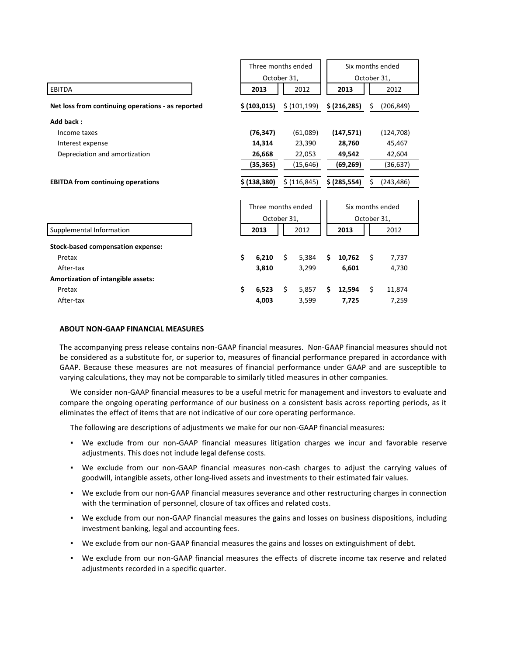|                                                   | Three months ended |    |               |    | Six months ended |    |             |
|---------------------------------------------------|--------------------|----|---------------|----|------------------|----|-------------|
|                                                   | October 31,        |    |               |    |                  |    | October 31, |
| <b>EBITDA</b>                                     | 2013               |    | 2012          |    | 2013             |    | 2012        |
| Net loss from continuing operations - as reported | \$ (103, 015)      |    | \$ (101, 199) |    | \$ (216, 285)    | Ŝ. | (206, 849)  |
| Add back:                                         |                    |    |               |    |                  |    |             |
| Income taxes                                      | (76, 347)          |    | (61,089)      |    | (147, 571)       |    | (124, 708)  |
| Interest expense                                  | 14,314             |    | 23,390        |    | 28,760           |    | 45,467      |
| Depreciation and amortization                     | 26,668             |    | 22,053        |    | 49,542           |    | 42,604      |
|                                                   | (35, 365)          |    | (15, 646)     |    | (69, 269)        |    | (36,637)    |
|                                                   |                    |    |               |    |                  |    |             |
| <b>EBITDA from continuing operations</b>          | \$ (138, 380)      |    | \$ (116, 845) |    | \$ (285, 554)    | S  | (243, 486)  |
|                                                   |                    |    |               |    |                  |    |             |
|                                                   | Three months ended |    |               |    | Six months ended |    |             |
|                                                   | October 31,        |    |               |    | October 31,      |    |             |
| Supplemental Information                          | 2013               |    | 2012          |    | 2013             |    | 2012        |
| <b>Stock-based compensation expense:</b>          |                    |    |               |    |                  |    |             |
| Pretax                                            | \$<br>6,210        | Ś. | 5,384         | Ś. | 10,762           | Ś. | 7,737       |
| After-tax                                         | 3,810              |    | 3,299         |    | 6,601            |    | 4,730       |
| Amortization of intangible assets:                |                    |    |               |    |                  |    |             |
| Pretax                                            | \$<br>6,523        | \$ | 5,857         | Ŝ. | 12,594           | \$ | 11,874      |
| After-tax                                         | 4,003              |    | 3,599         |    | 7,725            |    | 7,259       |
|                                                   |                    |    |               |    |                  |    |             |

#### **ABOUT NON-GAAP FINANCIAL MEASURES**

The accompanying press release contains non-GAAP financial measures. Non-GAAP financial measures should not be considered as a substitute for, or superior to, measures of financial performance prepared in accordance with GAAP. Because these measures are not measures of financial performance under GAAP and are susceptible to varying calculations, they may not be comparable to similarly titled measures in other companies.

We consider non-GAAP financial measures to be a useful metric for management and investors to evaluate and compare the ongoing operating performance of our business on a consistent basis across reporting periods, as it eliminates the effect of items that are not indicative of our core operating performance.

The following are descriptions of adjustments we make for our non-GAAP financial measures:

- We exclude from our non-GAAP financial measures litigation charges we incur and favorable reserve adjustments. This does not include legal defense costs.
- We exclude from our non-GAAP financial measures non-cash charges to adjust the carrying values of goodwill, intangible assets, other long-lived assets and investments to their estimated fair values.
- We exclude from our non-GAAP financial measures severance and other restructuring charges in connection with the termination of personnel, closure of tax offices and related costs.
- We exclude from our non-GAAP financial measures the gains and losses on business dispositions, including investment banking, legal and accounting fees.
- We exclude from our non-GAAP financial measures the gains and losses on extinguishment of debt.
- We exclude from our non-GAAP financial measures the effects of discrete income tax reserve and related adjustments recorded in a specific quarter.